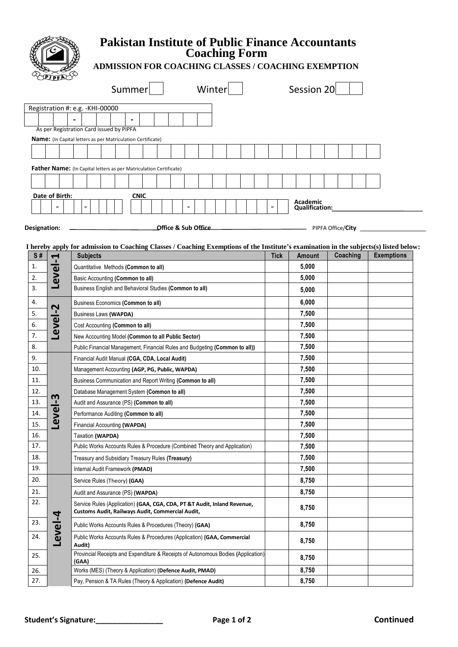

## **Pakistan Institute of Public Finance Accountants Coaching Form**

## **ADMISSION FOR COACHING CLASSES / COACHING EXEMPTION**

| - -                           | Summer                                                                                                                                 |             | Winter |  |             | Session 20                        |          |                   |
|-------------------------------|----------------------------------------------------------------------------------------------------------------------------------------|-------------|--------|--|-------------|-----------------------------------|----------|-------------------|
|                               | Registration #: e.g. -KHI-00000                                                                                                        |             |        |  |             |                                   |          |                   |
|                               | $\blacksquare$                                                                                                                         |             |        |  |             |                                   |          |                   |
|                               | As per Registration Card issued by PIPFA                                                                                               |             |        |  |             |                                   |          |                   |
|                               | Name: (In Capital letters as per Matriculation Certificate)                                                                            |             |        |  |             |                                   |          |                   |
|                               |                                                                                                                                        |             |        |  |             |                                   |          |                   |
|                               |                                                                                                                                        |             |        |  |             |                                   |          |                   |
|                               | <b>Father Name:</b> (In Capital letters as per Matriculation Certificate)                                                              |             |        |  |             |                                   |          |                   |
|                               |                                                                                                                                        |             |        |  |             |                                   |          |                   |
| Date of Birth:                |                                                                                                                                        | <b>CNIC</b> |        |  |             | Academic<br><b>Qualification:</b> |          |                   |
| Designation:                  | <b>Office &amp; Sub Office COMECAL CONSUMER ASSAULT AND PIPEA Office/City</b>                                                          |             |        |  |             |                                   |          |                   |
|                               | I hereby apply for admission to Coaching Classes / Coaching Exemptions of the Institute's examination in the subjects(s) listed below: |             |        |  |             |                                   |          |                   |
| S#<br>$\blacktriangleleft$    | <b>Subjects</b>                                                                                                                        |             |        |  | <b>Tick</b> | <b>Amount</b>                     | Coaching | <b>Exemptions</b> |
| 1.<br>$\overline{\mathbf{v}}$ | Quantitative Methods (Common to all)                                                                                                   |             |        |  | 5,000       |                                   |          |                   |
| 2.<br>ω                       | Basic Accounting (Common to all)                                                                                                       |             |        |  | 5,000       |                                   |          |                   |
| $\overline{a}$                | <b>Rusingss English and Rehavioral Studies (Common to all)</b>                                                                         |             |        |  | E AAA       |                                   |          |                   |

| 2.  | စိ      | Basic Accounting (Common to all)                                                                                             | 5,000 |  |
|-----|---------|------------------------------------------------------------------------------------------------------------------------------|-------|--|
| 3.  | ┚       | Business English and Behavioral Studies (Common to all)                                                                      | 5,000 |  |
| 4.  |         | Business Economics (Common to all)                                                                                           | 6,000 |  |
| 5.  | Level-2 | <b>Business Laws (WAPDA)</b>                                                                                                 | 7,500 |  |
| 6.  |         | Cost Accounting (Common to all)                                                                                              | 7,500 |  |
| 7.  |         | New Accounting Model (Common to all Public Sector)                                                                           | 7,500 |  |
| 8.  |         | Public Financial Management, Financial Rules and Budgeting (Common to all))                                                  | 7,500 |  |
| 9.  |         | Financial Audit Manual (CGA, CDA, Local Audit)                                                                               | 7,500 |  |
| 10. |         | Management Accounting (AGP, PG, Public, WAPDA)                                                                               | 7,500 |  |
| 11. |         | Business Communication and Report Writing (Common to all)                                                                    | 7,500 |  |
| 12. |         | Database Management System (Common to all)                                                                                   | 7,500 |  |
| 13. | Level-3 | Audit and Assurance (PS) (Common to all)                                                                                     | 7,500 |  |
| 14. |         | Performance Auditing (Common to all)                                                                                         | 7,500 |  |
| 15. |         | Financial Accounting (WAPDA)                                                                                                 | 7,500 |  |
| 16. |         | Taxation (WAPDA)                                                                                                             | 7,500 |  |
| 17. |         | Public Works Accounts Rules & Procedure (Combined Theory and Application)                                                    | 7,500 |  |
| 18. |         | Treasury and Subsidiary Treasury Rules (Treasury)                                                                            | 7,500 |  |
| 19. |         | Internal Audit Framework (PMAD)                                                                                              | 7,500 |  |
| 20. |         | Service Rules (Theory) (GAA)                                                                                                 | 8,750 |  |
| 21. |         | Audit and Assurance (PS) (WAPDA)                                                                                             | 8,750 |  |
| 22. |         | Service Rules (Application) (GAA, CGA, CDA, PT &T Audit, Inland Revenue,<br>Customs Audit, Railways Audit, Commercial Audit, | 8,750 |  |
| 23. |         | Public Works Accounts Rules & Procedures (Theory) (GAA)                                                                      | 8,750 |  |
| 24. | Level-4 | Public Works Accounts Rules & Procedures (Application) (GAA, Commercial<br>Audit)                                            | 8,750 |  |
| 25. |         | Provincial Receipts and Expenditure & Receipts of Autonomous Bodies (Application)<br>(GAA)                                   | 8,750 |  |
| 26. |         | Works (MES) (Theory & Application) (Defence Audit, PMAD)                                                                     | 8,750 |  |
| 27. |         | Pay, Pension & TA Rules (Theory & Application) (Defence Audit)                                                               | 8,750 |  |